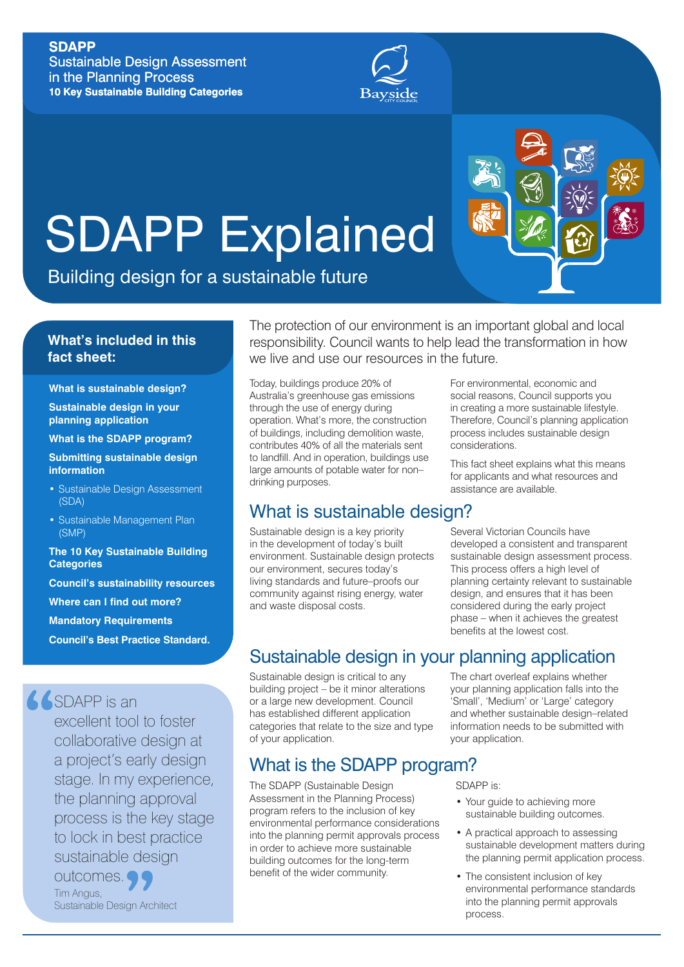# **SDAPP**

Sustainable Design Assessment in the Planning Process **10 Key Sustainable Building Categories**



# SDAPP Explained

Building design for a sustainable future

# **What's included in this fact sheet:**

**What is sustainable design?**

**Sustainable design in your planning application** 

**What is the SDAPP program?**

**Submitting sustainable design information**

- Sustainable Design Assessment (SDA)
- Sustainable Management Plan (SMP)

**The 10 Key Sustainable Building Categories Council's sustainability resources Where can I find out more? Mandatory Requirements Council's Best Practice Standard.**

**SSDAPP** is an

excellent tool to foster collaborative design at a project's early design stage. In my experience, the planning approval process is the key stage to lock in best practice sustainable design outcomes. Tim Angus, Sustainable Design Architect

The protection of our environment is an important global and local responsibility. Council wants to help lead the transformation in how we live and use our resources in the future.

Today, buildings produce 20% of Australia's greenhouse gas emissions through the use of energy during operation. What's more, the construction of buildings, including demolition waste, contributes 40% of all the materials sent to landfill. And in operation, buildings use large amounts of potable water for non– drinking purposes.

# What is sustainable design?

Sustainable design is a key priority in the development of today's built environment. Sustainable design protects our environment, secures today's living standards and future–proofs our community against rising energy, water and waste disposal costs.

For environmental, economic and social reasons, Council supports you in creating a more sustainable lifestyle. Therefore, Council's planning application process includes sustainable design considerations.

This fact sheet explains what this means for applicants and what resources and assistance are available.

Several Victorian Councils have developed a consistent and transparent sustainable design assessment process. This process offers a high level of planning certainty relevant to sustainable design, and ensures that it has been considered during the early project phase – when it achieves the greatest benefits at the lowest cost.

# Sustainable design in your planning application

Sustainable design is critical to any building project – be it minor alterations or a large new development. Council has established different application categories that relate to the size and type of your application.

# What is the SDAPP program?

The SDAPP (Sustainable Design Assessment in the Planning Process) program refers to the inclusion of key environmental performance considerations into the planning permit approvals process in order to achieve more sustainable building outcomes for the long-term benefit of the wider community.

The chart overleaf explains whether your planning application falls into the 'Small', 'Medium' or 'Large' category and whether sustainable design–related information needs to be submitted with your application.

SDAPP is:

- Your guide to achieving more sustainable building outcomes.
- A practical approach to assessing sustainable development matters during the planning permit application process.
- The consistent inclusion of key environmental performance standards into the planning permit approvals process.

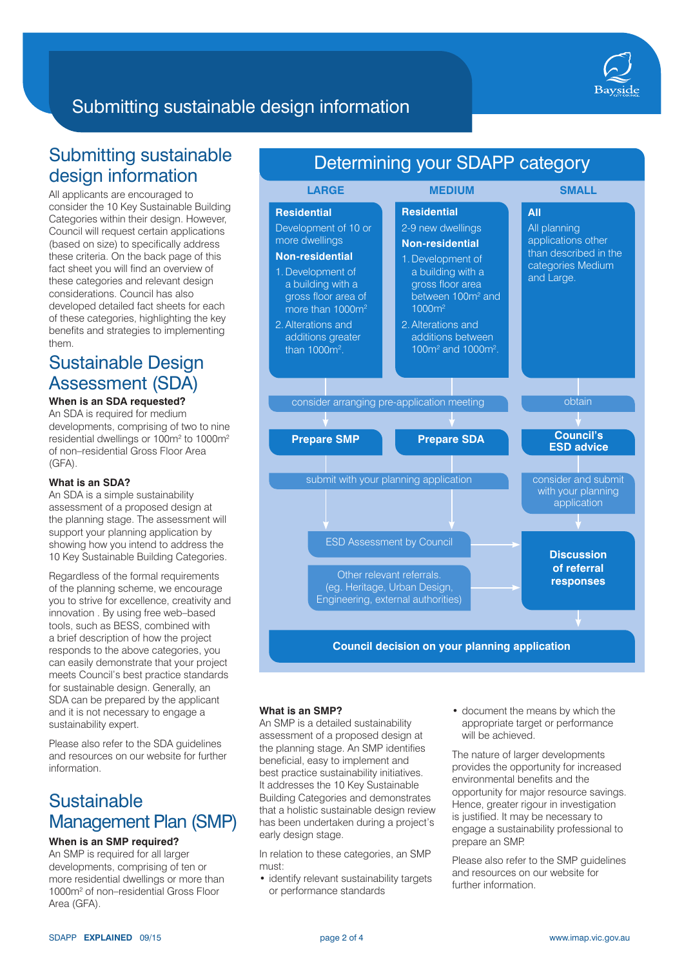

# Submitting sustainable design information

# Submitting sustainable design information

All applicants are encouraged to consider the 10 Key Sustainable Building Categories within their design. However, Council will request certain applications (based on size) to specifically address these criteria. On the back page of this fact sheet you will find an overview of these categories and relevant design considerations. Council has also developed detailed fact sheets for each of these categories, highlighting the key benefits and strategies to implementing them.

# Sustainable Design Assessment (SDA)

## **When is an SDA requested?**

An SDA is required for medium developments, comprising of two to nine residential dwellings or 100m<sup>2</sup> to 1000m<sup>2</sup> of non–residential Gross Floor Area (GFA).

#### **What is an SDA?**

An SDA is a simple sustainability assessment of a proposed design at the planning stage. The assessment will support your planning application by showing how you intend to address the 10 Key Sustainable Building Categories.

Regardless of the formal requirements of the planning scheme, we encourage you to strive for excellence, creativity and innovation . By using free web–based tools, such as BESS, combined with a brief description of how the project responds to the above categories, you can easily demonstrate that your project meets Council's best practice standards for sustainable design. Generally, an SDA can be prepared by the applicant and it is not necessary to engage a sustainability expert.

Please also refer to the SDA guidelines and resources on our website for further information.

# **Sustainable** Management Plan (SMP)

## **When is an SMP required?**

An SMP is required for all larger developments, comprising of ten or more residential dwellings or more than 1000m2 of non–residential Gross Floor Area (GFA).





#### **What is an SMP?**

An SMP is a detailed sustainability assessment of a proposed design at the planning stage. An SMP identifies beneficial, easy to implement and best practice sustainability initiatives. It addresses the 10 Key Sustainable Building Categories and demonstrates that a holistic sustainable design review has been undertaken during a project's early design stage.

In relation to these categories, an SMP must:

• identify relevant sustainability targets or performance standards

• document the means by which the appropriate target or performance will be achieved.

The nature of larger developments provides the opportunity for increased environmental benefits and the opportunity for major resource savings. Hence, greater rigour in investigation is justified. It may be necessary to engage a sustainability professional to prepare an SMP.

Please also refer to the SMP guidelines and resources on our website for further information.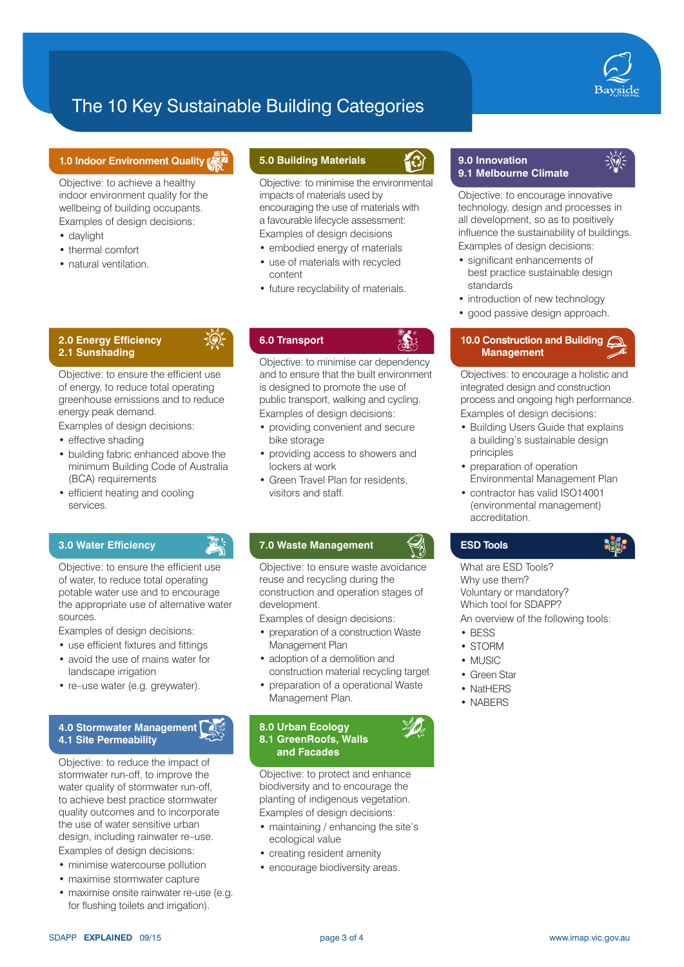

# The 10 Key Sustainable Building Categories

### **1.0 Indoor Environment Quality**

Objective: to achieve a healthy indoor environment quality for the wellbeing of building occupants. Examples of design decisions:

- daylight
- thermal comfort
- natural ventilation.

#### **2.0 Energy Efficiency 2.1 Sunshading**

Objective: to ensure the efficient use of energy, to reduce total operating greenhouse emissions and to reduce energy peak demand.

Examples of design decisions:

- effective shading
- building fabric enhanced above the minimum Building Code of Australia (BCA) requirements
- efficient heating and cooling services.

## **3.0 Water Efficiency**

Objective: to ensure the efficient use of water, to reduce total operating potable water use and to encourage the appropriate use of alternative water sources.

Examples of design decisions:

- use efficient fixtures and fittings
- avoid the use of mains water for landscape irrigation
- re–use water (e.g. greywater).

### **4.0 Stormwater Management 4.1 Site Permeability**

Objective: to reduce the impact of stormwater run-off, to improve the water quality of stormwater run-off. to achieve best practice stormwater quality outcomes and to incorporate the use of water sensitive urban design, including rainwater re–use. Examples of design decisions:

- minimise watercourse pollution
- maximise stormwater capture
- maximise onsite rainwater re-use (e.g. for flushing toilets and irrigation).

## **5.0 Building Materials**

Objective: to minimise the environmental impacts of materials used by encouraging the use of materials with a favourable lifecycle assessment: Examples of design decisions

- embodied energy of materials
- use of materials with recycled content
- future recyclability of materials.

## **6.0 Transport**

Objective: to minimise car dependency and to ensure that the built environment is designed to promote the use of public transport, walking and cycling. Examples of design decisions:

- providing convenient and secure bike storage
- providing access to showers and lockers at work
- Green Travel Plan for residents, visitors and staff.

### **7.0 Waste Management**

Objective: to ensure waste avoidance reuse and recycling during the construction and operation stages of development.

Examples of design decisions:

- preparation of a construction Waste Management Plan
- adoption of a demolition and construction material recycling target
- preparation of a operational Waste Management Plan.

#### **8.0 Urban Ecology 8.1 GreenRoofs, Walls and Facades**

Objective: to protect and enhance biodiversity and to encourage the planting of indigenous vegetation. Examples of design decisions:

- maintaining / enhancing the site's ecological value
- creating resident amenity
- encourage biodiversity areas.

## **9.0 Innovation 9.1 Melbourne Climate**



Objective: to encourage innovative technology, design and processes in all development, so as to positively influence the sustainability of buildings. Examples of design decisions:

- significant enhancements of best practice sustainable design standards
- introduction of new technology
- good passive design approach.

## **10.0 Construction and Building Management**

Objectives: to encourage a holistic and integrated design and construction process and ongoing high performance. Examples of design decisions:

- Building Users Guide that explains a building's sustainable design principles
- preparation of operation Environmental Management Plan
- contractor has valid ISO14001 (environmental management) accreditation.

### **ESD Tools**

What are ESD Tools? Why use them? Voluntary or mandatory? Which tool for SDAPP? An overview of the following tools:

- BESS
- STORM
- MUSIC
- Green Star
- NatHERS
- NABERS